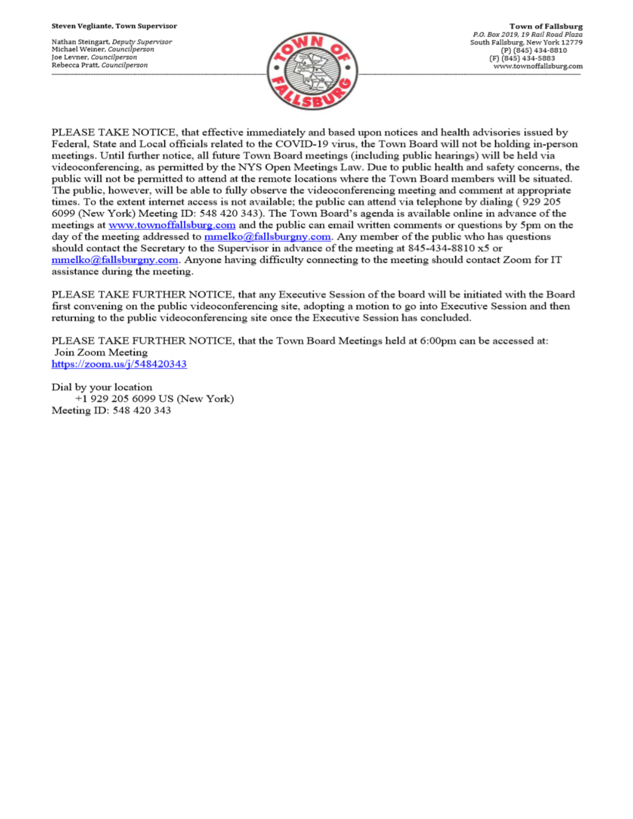Nathan Steingart, Deputy Supervisor Michael Weiner, Councilperson Joe Levner, Councilperson Rebecca Pratt, Councilperson



PLEASE TAKE NOTICE, that effective immediately and based upon notices and health advisories issued by Federal, State and Local officials related to the COVID-19 virus, the Town Board will not be holding in-person meetings. Until further notice, all future Town Board meetings (including public hearings) will be held via videoconferencing, as permitted by the NYS Open Meetings Law. Due to public health and safety concerns, the public will not be permitted to attend at the remote locations where the Town Board members will be situated. The public, however, will be able to fully observe the videoconferencing meeting and comment at appropriate times. To the extent internet access is not available; the public can attend via telephone by dialing (929 205 6099 (New York) Meeting ID: 548 420 343). The Town Board's agenda is available online in advance of the meetings at www.townoffallsburg.com and the public can email written comments or questions by 5pm on the day of the meeting addressed to  $\frac{mmelko@fallsburgny.com}{mclubluygny.com}$ . Any member of the public who has questions should contact the Secretary to the Supervisor in advance of the meeting at 845-434-8810 x5 or  $mmelko@fallsburgny.com$ . Anyone having difficulty connecting to the meeting should contact Zoom for IT assistance during the meeting.

PLEASE TAKE FURTHER NOTICE, that any Executive Session of the board will be initiated with the Board first convening on the public videoconferencing site, adopting a motion to go into Executive Session and then returning to the public videoconferencing site once the Executive Session has concluded.

PLEASE TAKE FURTHER NOTICE, that the Town Board Meetings held at 6:00pm can be accessed at: Join Zoom Meeting https://zoom.us/j/548420343

Dial by your location +1 929 205 6099 US (New York) Meeting ID: 548 420 343